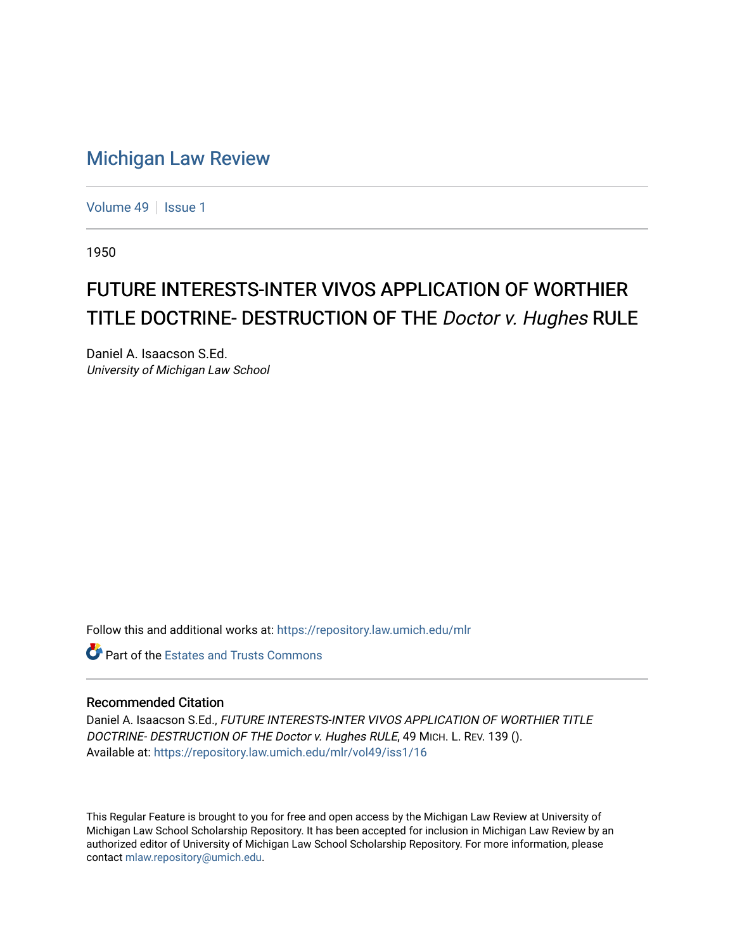## [Michigan Law Review](https://repository.law.umich.edu/mlr)

[Volume 49](https://repository.law.umich.edu/mlr/vol49) | [Issue 1](https://repository.law.umich.edu/mlr/vol49/iss1)

1950

## FUTURE INTERESTS-INTER VIVOS APPLICATION OF WORTHIER TITLE DOCTRINE- DESTRUCTION OF THE Doctor v. Hughes RULE

Daniel A. Isaacson S.Ed. University of Michigan Law School

Follow this and additional works at: [https://repository.law.umich.edu/mlr](https://repository.law.umich.edu/mlr?utm_source=repository.law.umich.edu%2Fmlr%2Fvol49%2Fiss1%2F16&utm_medium=PDF&utm_campaign=PDFCoverPages) 

**C** Part of the Estates and Trusts Commons

## Recommended Citation

Daniel A. Isaacson S.Ed., FUTURE INTERESTS-INTER VIVOS APPLICATION OF WORTHIER TITLE DOCTRINE- DESTRUCTION OF THE Doctor v. Hughes RULE, 49 MICH. L. REV. 139 (). Available at: [https://repository.law.umich.edu/mlr/vol49/iss1/16](https://repository.law.umich.edu/mlr/vol49/iss1/16?utm_source=repository.law.umich.edu%2Fmlr%2Fvol49%2Fiss1%2F16&utm_medium=PDF&utm_campaign=PDFCoverPages) 

This Regular Feature is brought to you for free and open access by the Michigan Law Review at University of Michigan Law School Scholarship Repository. It has been accepted for inclusion in Michigan Law Review by an authorized editor of University of Michigan Law School Scholarship Repository. For more information, please contact [mlaw.repository@umich.edu](mailto:mlaw.repository@umich.edu).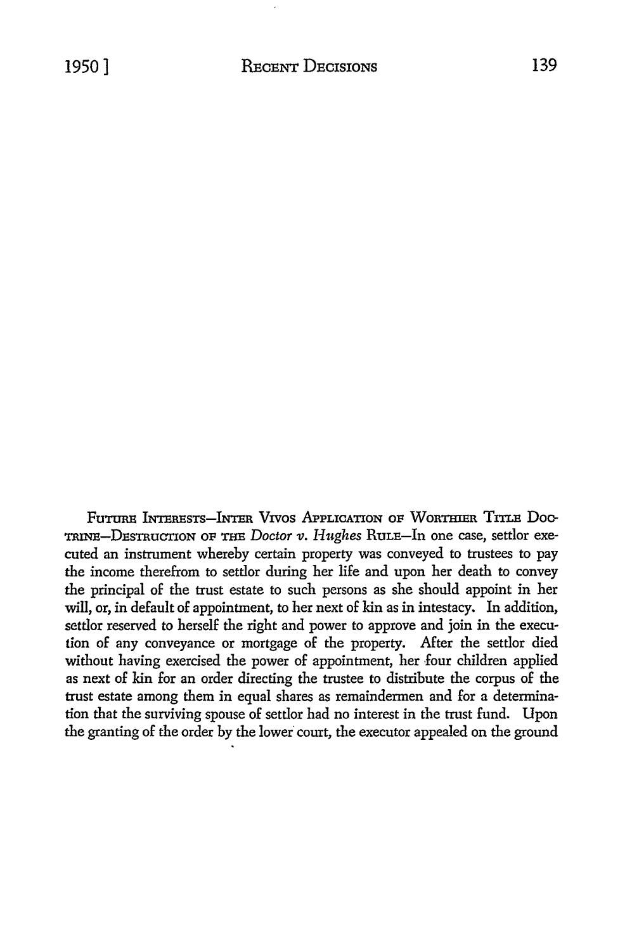Future Interests-Inter Vivos Application of Worthier Title Doc-TRINE-DEsTRuCTioN OF THE *Doctor v.* Hughes RuLE-In one case, settlor executed an instrument whereby certain property was conveyed to trustees to pay the income therefrom to settlor during her life and upon her death to convey the principal of the trust estate to such persons as she should appoint in her will, or, in default of appointment, to her next of kin as in intestacy. In addition, settlor reserved to herself the right and power to approve and join in the execution of any conveyance or mortgage of the property. After the settlor died without having exercised the power of appointment, her four children applied as next of kin for an order directing the trustee to distribute the corpus of the trust estate among them in equal shares as remaindermen and for a determination that the surviving spouse of settlor had no interest in the trust fund. Upon the granting of the order by the lower court, the executor appealed on the ground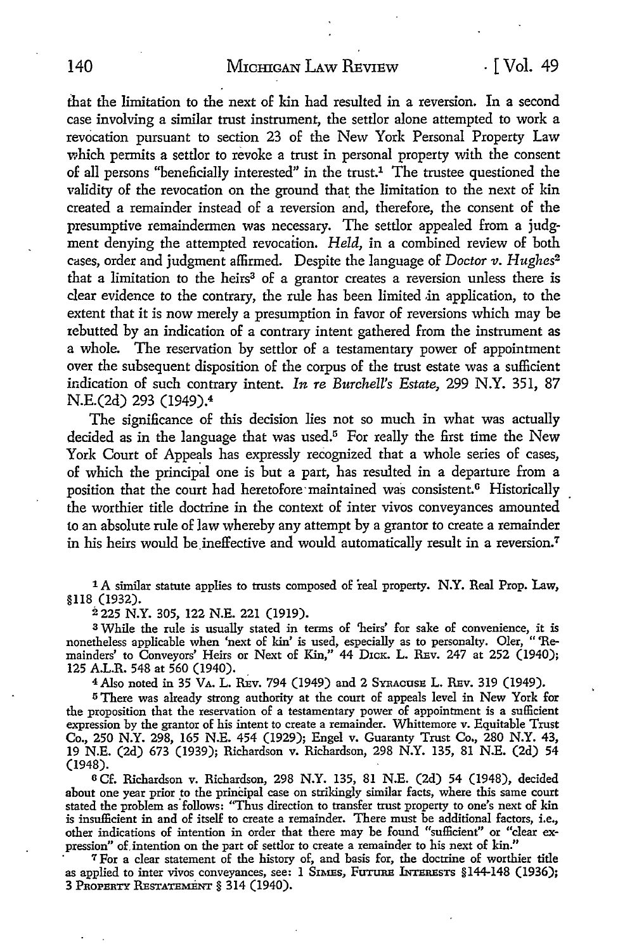that the limitation to the next of kin bad resulted in a reversion. In a second case involving a similar trust instrument, the settlor alone attempted to work a revocation pursuant to section 23 of the New York Personal Property Law which permits a settlor to revoke a trust in personal property with the consent of all persons "beneficially interested" in the trust.1 The trustee questioned the validity of the revocation on the ground that the limitation to the next of kin created a remainder instead of a reversion and, therefore, the consent of the presumptive remaindermen was necessary. The settlor appealed from a judgment denying the attempted revocation. *Held,* in a combined review of both cases, order and judgment affirmed. Despite the language of *Doctor v. Hughes*<sup>2</sup> that a limitation to the heirs<sup>3</sup> of a grantor creates a reversion unless there is clear evidence to the contrary, the rule has been limited in application, to the extent that it is now merely a presumption in favor of reversions which may be tebutted by an indication of a contrary intent gathered from the instrument as a whole. The reservation by settlor of a testamentary power of appointment over the subsequent disposition of the corpus of the trust estate was a sufficient indication of such contrary intent. *In re Burchell's Estate,* 299 N.Y. 351, 87 N.E.(2d) 293 (1949).<sup>4</sup>

The significance of this decision lies not so much in what was actually decided as in the language that was used.<sup>5</sup> For really the first time the New York Court of Appeals has expressly recognized that a whole series of cases, of which the principal one is but a part, has resulted in a departure from a position that the court had heretofore maintained was consistent.<sup>6</sup> Historically the worthier title doctrine in the context of inter vivos conveyances amounted to an absolute rule of law whereby any attempt by a grantor to create a remainder in his heirs would be ineffective and would automatically result in a reversion.<sup>7</sup>

1 A similar statute applies to trusts composed of real property. **N.Y.** Real Prop. Law, §ll8 (1932).

2 225 N.Y. 305, 122 N.E. 221 (1919).

<sup>3</sup>While the rule is usually stated in terms of 'heirs' for sake of convenience, it is nonetheless applicable when 'next of kin' is used, especially as to personalty. Oler, "'Remainders' to Conveyors' Heirs or Next of Kin," 44 D1cK. L. REv. 247 at 252 (1940); 125 A.L.R. 548 at 560 (1940).

4 Also noted in 35 VA. L. Rev. 794 (1949) and 2 SYRACUSE L. Rev. 319 (1949).

5 There was already strong authority at the court of appeals level in New York for the proposition that the reservation of a testamentary power of appointment is a sufficient expression by the grantor of his intent to create a remainder. Whittemore v. Equitable Trust Co., 250 N.Y. 298, 165 N.E. 454 (1929); Engel v. Guaranty Trust Co., 280 N.Y. 43, 19 N.E. (2d) 673 (1939); Richardson v. Richardson, 298 N.Y. 135, 81 N.E. (2d) 54 (1948).

o Cf. Richardson v. Richardson, 298 N.Y. 135, 81 N.E. (2d) 54 (1948), decided about one year prior to the principal case on strikingly similar facts, where this same court stated the problem as'follows: "Thus direction to transfer trust property to one's next of kin is insufficient in and of itself to create a remainder. There must be additional factors, i.e., other indications of intention in order that there may be found "sufficient" or "clear expression" of.intention on the part of settlor to create a remainder to his next of kin."

*1* For a clear statement of the history of, and basis for, the doctrine of worthier title as applied to inter vivos conveyances, see: 1 SIMES, FUTURE INTERESTS §144-148 (1936); 3 PROPERTY RESTATEMENT§ 314 (1940).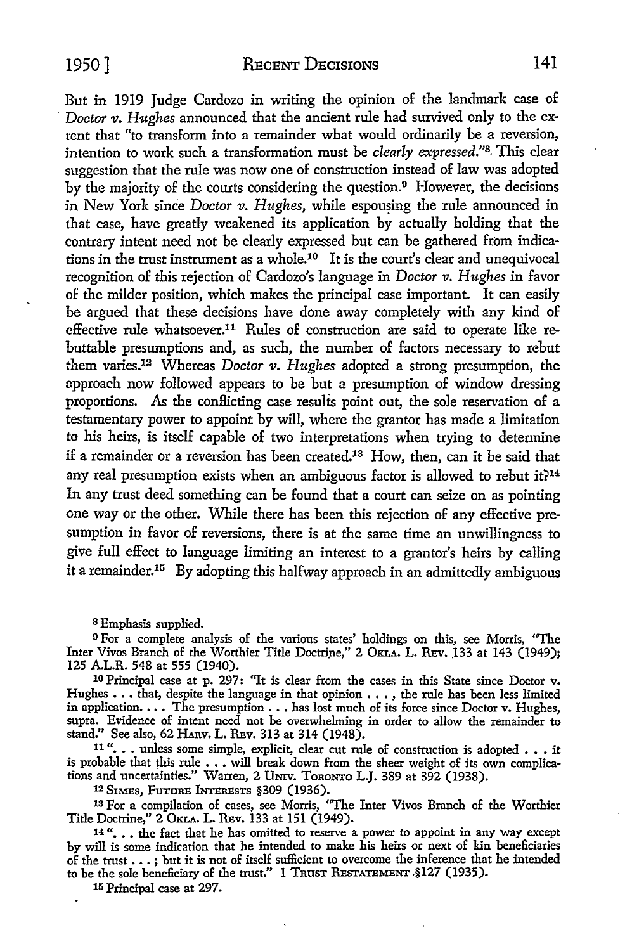But in 1919 Judge Cardozo in writing the opinion of the landmark case of · *Doctor v. Hughes* announced that the ancient rule had survived only to the extent that "to transform into a remainder what would ordinarily be a reversion, intention to work such a transformation must be *clearly expressed."*8. This clear suggestion that the rule was now one of construction instead of law was adopted by the majority of the courts considering the question.<sup>9</sup> However, the decisions in New York since *Doctor v. Hughes*, while espousing the rule announced in that case, have greatly weakened its application by actually holding that the contrary intent need not be clearly expressed but can be gathered from indications in the trust instrument as a whole.10 It is the court's clear and unequivocal recognition of this rejection of Cardozo's language in *Doctor v. Hughes* in favor of the milder position, which makes the principal case important. It can easily be argued that these decisions have done away completely with any kind of effective rule whatsoever.11 Rules of construction are said to operate like rebuttable presumptions and, as such, the number of factors necessary to rebut them varies.12 Whereas *Doctor v. Hughes* adopted a strong presumption, the approach now followed appears to be but a presumption of window dressing proportions. As the conllicting case results point out, the sole reservation of a testamentary power to appoint by will, where the grantor has made a limitation to his heirs, is itself capable of two interpretations when trying to determine if a remainder or a reversion has been created.13 How, then, can it be said that any real presumption exists when an ambiguous factor is allowed to rebut it?<sup>14</sup> In any trust deed something can be found that a court can seize on as pointing one way or the other. While there has been this rejection of any effective presumption in favor of reversions, there is at the same time an unwillingness to give full effect to language limiting an interest to a grantor's heirs by calling it a remainder.<sup>15</sup> By adopting this halfway approach in an admittedly ambiguous

s Emphasis supplied.

<sup>9</sup> For a complete analysis of the various states' holdings on this, see Morris, "The Inter Vivos Branch of the Worthier Title Doctrine," 2 OKLA, L. REV, 133 at 143 (1949); 125 A.L.R. 548 at 555 (1940).

10 Principal case at p. 297: "It is clear from the cases in this State since Doctor  $v$ . Hughes . . . that, despite the language in that opinion . . . , the rule has been less limited in application. . . . The presumption . . . has lost much of its force since Doctor v. Hughes, supra. Evidence of intent need not be overwhelming in order to allow the remainder to stand." See also, 62 HAnv. L. REv. 313 at 314 (1948).

11"... unless some simple, explicit, clear cut rule of construction is adopted ... it is probable that this rule  $\ldots$  will break down from the sheer weight of its own complications and uncertainties." Warren, 2 UNIV. TORONTO L.J. 389 at 392 (1938).

12 SIMES, FUTURE INTERESTS §309 (1936).

13 For a compilation of cases, see Morris, "The Inter Vives Branch of the Worthier Title Doctrine," 2 OKLA. L. REv. 133 at 151 (1949).

14 "... the fact that he has omitted to reserve a power to appoint in any way except by will is some indication that he intended to make his heirs or next of kin beneficiaries of the trust  $\ldots$ ; but it is not of itself sufficient to overcome the inference that he intended to be the sole beneficiary of the trust." 1 TRUST RESTATEMENT. §127 (1935).

15 Principal case at 297.